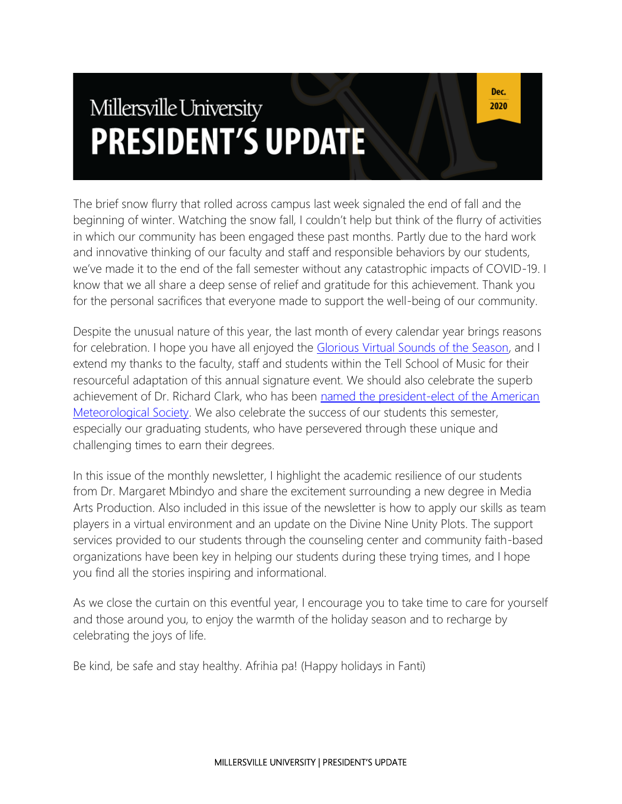# Millersville University **PRESIDENT'S UPDATE**

The brief snow flurry that rolled across campus last week signaled the end of fall and the beginning of winter. Watching the snow fall, I couldn't help but think of the flurry of activities in which our community has been engaged these past months. Partly due to the hard work and innovative thinking of our faculty and staff and responsible behaviors by our students, we've made it to the end of the fall semester without any catastrophic impacts of COVID-19. I know that we all share a deep sense of relief and gratitude for this achievement. Thank you for the personal sacrifices that everyone made to support the well-being of our community.

Despite the unusual nature of this year, the last month of every calendar year brings reasons for celebration. I hope you have all enjoyed the [Glorious Virtual Sounds of the Season,](https://secure.qgiv.com/event/vgsots/) and I extend my thanks to the faculty, staff and students within the Tell School of Music for their resourceful adaptation of this annual signature event. We should also celebrate the superb achievement of Dr. Richard Clark, who has been named the president-elect of the American [Meteorological Society.](https://blogs.millersville.edu/news/2020/11/17/millersville-university-professor-elected-president-elect-of-ams/) We also celebrate the success of our students this semester, especially our graduating students, who have persevered through these unique and challenging times to earn their degrees.

In this issue of the monthly newsletter, I highlight the academic resilience of our students from Dr. Margaret Mbindyo and share the excitement surrounding a new degree in Media Arts Production. Also included in this issue of the newsletter is how to apply our skills as team players in a virtual environment and an update on the Divine Nine Unity Plots. The support services provided to our students through the counseling center and community faith-based organizations have been key in helping our students during these trying times, and I hope you find all the stories inspiring and informational.

As we close the curtain on this eventful year, I encourage you to take time to care for yourself and those around you, to enjoy the warmth of the holiday season and to recharge by celebrating the joys of life.

Be kind, be safe and stay healthy. Afrihia pa! (Happy holidays in Fanti)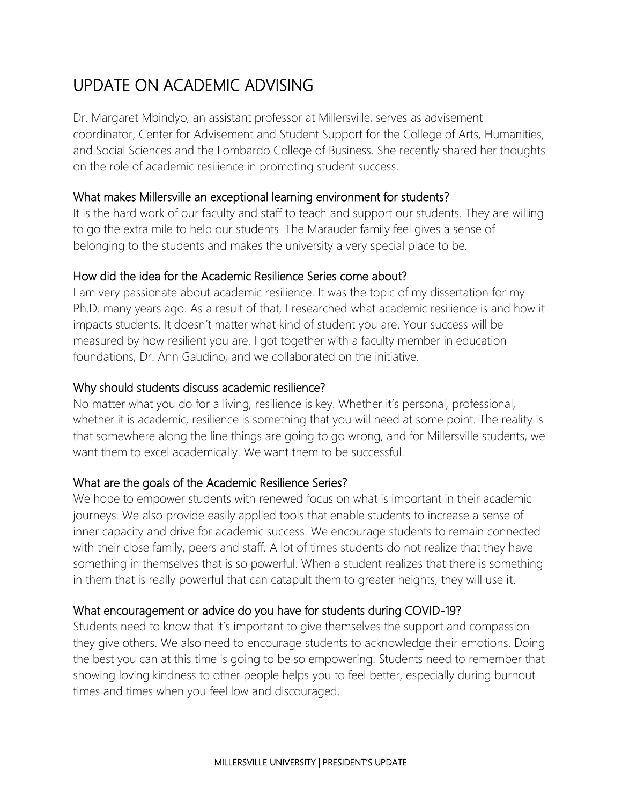## UPDATE ON ACADEMIC ADVISING

Dr. Margaret Mbindyo, an assistant professor at Millersville, serves as advisement coordinator, Center for Advisement and Student Support for the College of Arts, Humanities, and Social Sciences and the Lombardo College of Business. She recently shared her thoughts on the role of academic resilience in promoting student success.

#### What makes Millersville an exceptional learning environment for students?

It is the hard work of our faculty and staff to teach and support our students. They are willing to go the extra mile to help our students. The Marauder family feel gives a sense of belonging to the students and makes the university a very special place to be.

#### How did the idea for the Academic Resilience Series come about?

I am very passionate about academic resilience. It was the topic of my dissertation for my Ph.D. many years ago. As a result of that, I researched what academic resilience is and how it impacts students. It doesn't matter what kind of student you are. Your success will be measured by how resilient you are. I got together with a faculty member in education foundations, Dr. Ann Gaudino, and we collaborated on the initiative.

#### Why should students discuss academic resilience?

No matter what you do for a living, resilience is key. Whether it's personal, professional, whether it is academic, resilience is something that you will need at some point. The reality is that somewhere along the line things are going to go wrong, and for Millersville students, we want them to excel academically. We want them to be successful.

## What are the goals of the Academic Resilience Series?

We hope to empower students with renewed focus on what is important in their academic journeys. We also provide easily applied tools that enable students to increase a sense of inner capacity and drive for academic success. We encourage students to remain connected with their close family, peers and staff. A lot of times students do not realize that they have something in themselves that is so powerful. When a student realizes that there is something in them that is really powerful that can catapult them to greater heights, they will use it.

## What encouragement or advice do you have for students during COVID-19?

Students need to know that it's important to give themselves the support and compassion they give others. We also need to encourage students to acknowledge their emotions. Doing the best you can at this time is going to be so empowering. Students need to remember that showing loving kindness to other people helps you to feel better, especially during burnout times and times when you feel low and discouraged.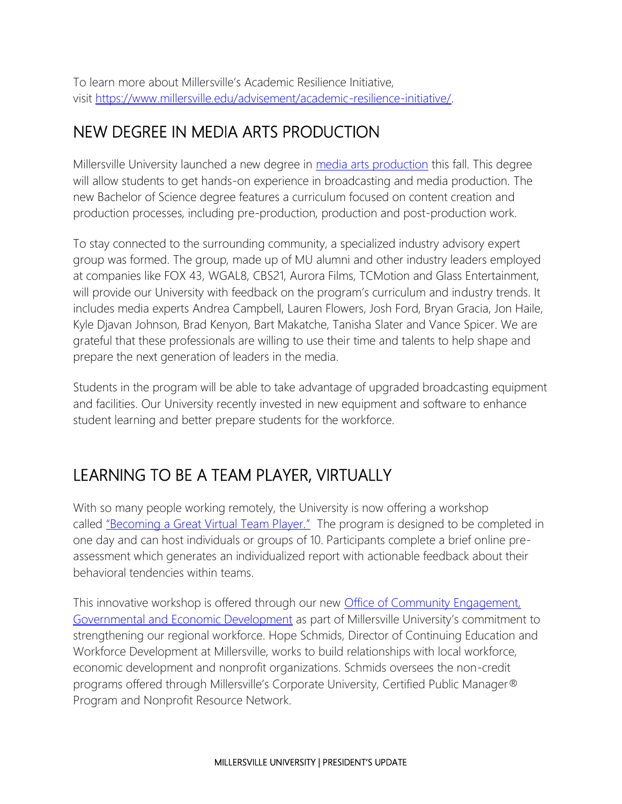To learn more about Millersville's Academic Resilience Initiative, visit [https://www.millersville.edu/advisement/academic-resilience-initiative/.](https://www.millersville.edu/advisement/academic-resilience-initiative/)

## NEW DEGREE IN MEDIA ARTS PRODUCTION

Millersville University launched a new degree in [media arts production](https://www.millersville.edu/commtheatre/media-arts-production/index.php) this fall. This degree will allow students to get hands-on experience in broadcasting and media production. The new Bachelor of Science degree features a curriculum focused on content creation and production processes, including pre-production, production and post-production work.

To stay connected to the surrounding community, a specialized industry advisory expert group was formed. The group, made up of MU alumni and other industry leaders employed at companies like FOX 43, WGAL8, CBS21, Aurora Films, TCMotion and Glass Entertainment, will provide our University with feedback on the program's curriculum and industry trends. It includes media experts Andrea Campbell, Lauren Flowers, Josh Ford, Bryan Gracia, Jon Haile, Kyle Djavan Johnson, Brad Kenyon, Bart Makatche, Tanisha Slater and Vance Spicer. We are grateful that these professionals are willing to use their time and talents to help shape and prepare the next generation of leaders in the media.

Students in the program will be able to take advantage of upgraded broadcasting equipment and facilities. Our University recently invested in new equipment and software to enhance student learning and better prepare students for the workforce.

# LEARNING TO BE A TEAM PLAYER, VIRTUALLY

With so many people working remotely, the University is now offering a workshop called ["Becoming a Great Virtual Team Player."](https://www.millersville.edu/ceged/workforce-training/corporate-university/becoming-a-great-virtual-team-player.pdf) The program is designed to be completed in one day and can host individuals or groups of 10. Participants complete a brief online preassessment which generates an individualized report with actionable feedback about their behavioral tendencies within teams.

This innovative workshop is offered through our new **Office of Community Engagement**, [Governmental and Economic Development](https://www.millersville.edu/ceged/index.php) as part of Millersville University's commitment to strengthening our regional workforce. Hope Schmids, Director of Continuing Education and Workforce Development at Millersville, works to build relationships with local workforce, economic development and nonprofit organizations. Schmids oversees the non-credit programs offered through Millersville's Corporate University, Certified Public Manager® Program and Nonprofit Resource Network.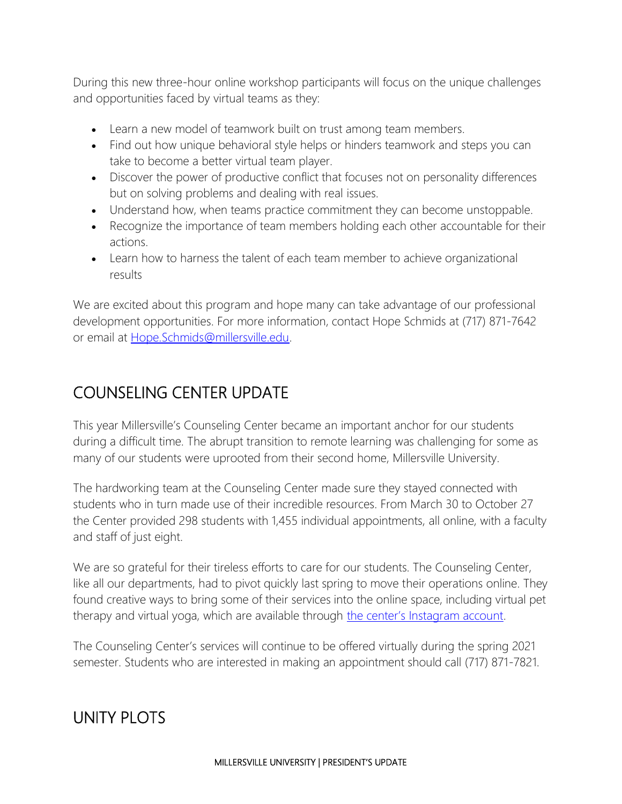During this new three-hour online workshop participants will focus on the unique challenges and opportunities faced by virtual teams as they:

- Learn a new model of teamwork built on trust among team members.
- Find out how unique behavioral style helps or hinders teamwork and steps you can take to become a better virtual team player.
- Discover the power of productive conflict that focuses not on personality differences but on solving problems and dealing with real issues.
- Understand how, when teams practice commitment they can become unstoppable.
- Recognize the importance of team members holding each other accountable for their actions.
- Learn how to harness the talent of each team member to achieve organizational results

We are excited about this program and hope many can take advantage of our professional development opportunities. For more information, contact Hope Schmids at (717) 871-7642 or email at [Hope.Schmids@millersville.edu.](mailto:Hope.Schmids@millersville.edu)

## COUNSELING CENTER UPDATE

This year Millersville's Counseling Center became an important anchor for our students during a difficult time. The abrupt transition to remote learning was challenging for some as many of our students were uprooted from their second home, Millersville University.

The hardworking team at the Counseling Center made sure they stayed connected with students who in turn made use of their incredible resources. From March 30 to October 27 the Center provided 298 students with 1,455 individual appointments, all online, with a faculty and staff of just eight.

We are so grateful for their tireless efforts to care for our students. The Counseling Center, like all our departments, had to pivot quickly last spring to move their operations online. They found creative ways to bring some of their services into the online space, including virtual pet therapy and virtual yoga, which are available through [the center's Instagram account](https://www.instagram.com/thevillecounselingcenter/).

The Counseling Center's services will continue to be offered virtually during the spring 2021 semester. Students who are interested in making an appointment should call (717) 871-7821.

# UNITY PLOTS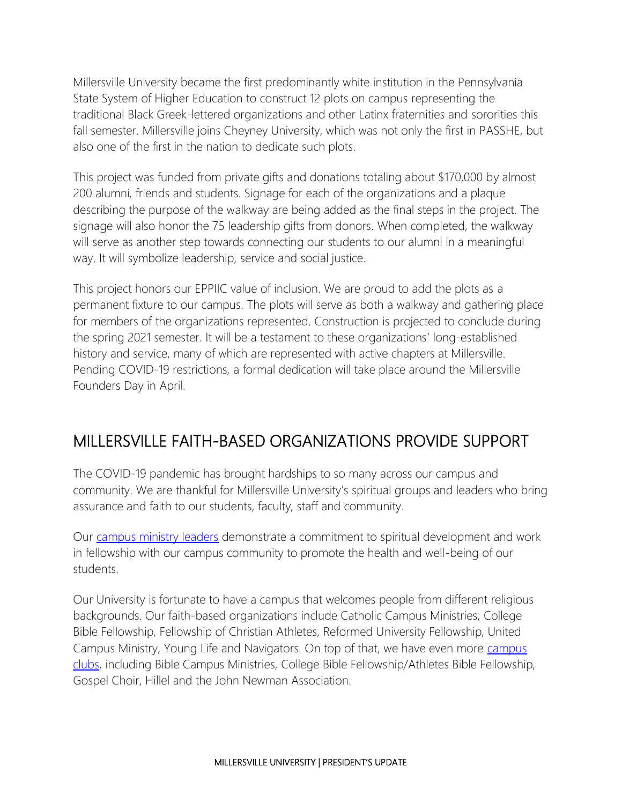Millersville University became the first predominantly white institution in the Pennsylvania State System of Higher Education to construct 12 plots on campus representing the traditional Black Greek-lettered organizations and other Latinx fraternities and sororities this fall semester. Millersville joins Cheyney University, which was not only the first in PASSHE, but also one of the first in the nation to dedicate such plots.

This project was funded from private gifts and donations totaling about \$170,000 by almost 200 alumni, friends and students. Signage for each of the organizations and a plaque describing the purpose of the walkway are being added as the final steps in the project. The signage will also honor the 75 leadership gifts from donors. When completed, the walkway will serve as another step towards connecting our students to our alumni in a meaningful way. It will symbolize leadership, service and social justice.

This project honors our EPPIIC value of inclusion. We are proud to add the plots as a permanent fixture to our campus. The plots will serve as both a walkway and gathering place for members of the organizations represented. Construction is projected to conclude during the spring 2021 semester. It will be a testament to these organizations' long-established history and service, many of which are represented with active chapters at Millersville. Pending COVID-19 restrictions, a formal dedication will take place around the Millersville Founders Day in April.

## MILLERSVILLE FAITH-BASED ORGANIZATIONS PROVIDE SUPPORT

The COVID-19 pandemic has brought hardships to so many across our campus and community. We are thankful for Millersville University's spiritual groups and leaders who bring assurance and faith to our students, faculty, staff and community.

Our [campus ministry leaders](https://www.millersville.edu/campusministries/campus-ministries.php) demonstrate a commitment to spiritual development and work in fellowship with our campus community to promote the health and well-being of our students.

Our University is fortunate to have a campus that welcomes people from different religious backgrounds. Our faith-based organizations include Catholic Campus Ministries, College Bible Fellowship, Fellowship of Christian Athletes, Reformed University Fellowship, United Campus Ministry, Young Life and Navigators. On top of that, we have even more [campus](https://www.millersville.edu/campusministries/campus-clubs.php)  [clubs,](https://www.millersville.edu/campusministries/campus-clubs.php) including Bible Campus Ministries, College Bible Fellowship/Athletes Bible Fellowship, Gospel Choir, Hillel and the John Newman Association.